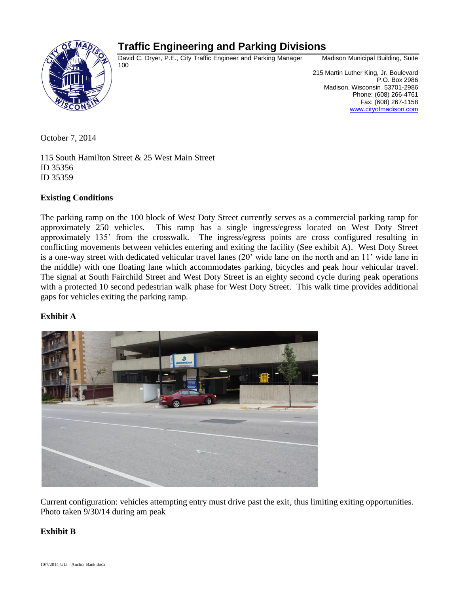# **Traffic Engineering and Parking Divisions**



David C. Dryer, P.E., City Traffic Engineer and Parking Manager Madison Municipal Building, Suite 100

 215 Martin Luther King, Jr. Boulevard P.O. Box 2986 Madison, Wisconsin 53701-2986 Phone: (608) 266-4761 Fax: (608) 267-1158 [www.cityofmadison.com](http://www.cityofmadison.com/)

October 7, 2014

115 South Hamilton Street & 25 West Main Street ID 35356 ID 35359

## **Existing Conditions**

The parking ramp on the 100 block of West Doty Street currently serves as a commercial parking ramp for approximately 250 vehicles. This ramp has a single ingress/egress located on West Doty Street approximately 135' from the crosswalk. The ingress/egress points are cross configured resulting in conflicting movements between vehicles entering and exiting the facility (See exhibit A). West Doty Street is a one-way street with dedicated vehicular travel lanes (20' wide lane on the north and an 11' wide lane in the middle) with one floating lane which accommodates parking, bicycles and peak hour vehicular travel. The signal at South Fairchild Street and West Doty Street is an eighty second cycle during peak operations with a protected 10 second pedestrian walk phase for West Doty Street. This walk time provides additional gaps for vehicles exiting the parking ramp.

## **Exhibit A**



Current configuration: vehicles attempting entry must drive past the exit, thus limiting exiting opportunities. Photo taken 9/30/14 during am peak

## **Exhibit B**